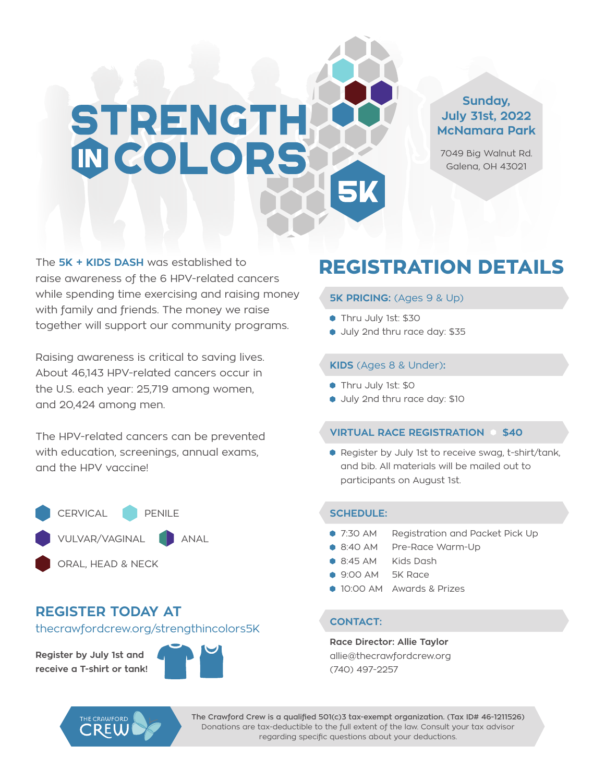# **STRENGTH INCOLORS**

#### **Sunday, July 31st, 2022 McNamara Park**

7049 Big Walnut Rd. Galena, OH 43021

The **5K + KIDS DASH** was established to raise awareness of the 6 HPV-related cancers while spending time exercising and raising money with family and friends. The money we raise together will support our community programs.

Raising awareness is critical to saving lives. About 46,143 HPV-related cancers occur in the U.S. each year: 25,719 among women, and 20,424 among men.

The HPV-related cancers can be prevented with education, screenings, annual exams, and the HPV vaccine!



#### **REGISTER TODAY AT**

thecrawfordcrew.org/strengthincolors5K

**Register by July 1st and receive a T-shirt or tank!**

CREI



#### **REGISTRATION DETAILS**

#### **5K PRICING:** (Ages 9 & Up)

- Thru July 1st: \$30
- Uuly 2nd thru race day: \$35

#### **KIDS** (Ages 8 & Under)**:**

- Thru July 1st: \$0
- Uuly 2nd thru race day: \$10

#### **VIRTUAL RACE REGISTRATION 6 \$40**

● Register by July 1st to receive swag, t-shirt/tank, and bib. All materials will be mailed out to participants on August 1st.

#### **SCHEDULE:**

- 7:30 AM Registration and Packet Pick Up
- 8:40 AM Pre-Race Warm-Up
- 8:45 AM Kids Dash
- 9:00 AM 5K Race
- **10:00 AM Awards & Prizes**

#### **CONTACT:**

**Race Director: Allie Taylor** allie@thecrawfordcrew.org (740) 497-2257

**The Crawford Crew is a qualified 501(c)3 tax-exempt organization. (Tax ID# 46-1211526)**  Donations are tax-deductible to the full extent of the law. Consult your tax advisor regarding specific questions about your deductions.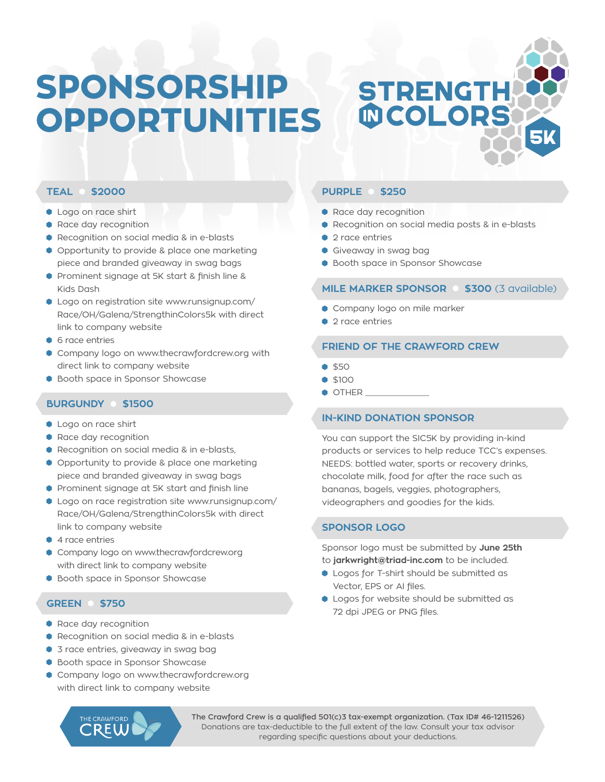## **SPONSORSHIP OPPORTUNITIES**

## **MCOLORS**

**STRENGTH** 

#### **TEAL \$2000**

- **Logo on race shirt**
- **Race day recognition**
- Recognition on social media & in e-blasts
- Opportunity to provide & place one marketing piece and branded giveaway in swag bags
- **Prominent signage at 5K start & finish line &** Kids Dash
- Logo on registration site www.runsignup.com/ Race/OH/Galena/StrengthinColors5k with direct link to company website
- **6** race entries
- **Company logo on www.thecrawfordcrew.org with** direct link to company website
- **Booth space in Sponsor Showcase**

#### **BURGUNDY \$1500**

- **Logo on race shirt**
- **Race day recognition**
- Recognition on social media & in e-blasts,
- Opportunity to provide & place one marketing piece and branded giveaway in swag bags
- **•** Prominent signage at 5K start and finish line
- Logo on race registration site www.runsignup.com/ Race/OH/Galena/StrengthinColors5k with direct link to company website
- 4 race entries
- Company logo on www.thecrawfordcrew.org with direct link to company website
- **Booth space in Sponsor Showcase**

#### **GREEN \$750**

- **Race day recognition**
- Recognition on social media & in e-blasts
- **3** race entries, giveaway in swag bag
- **Booth space in Sponsor Showcase**
- Company logo on www.thecrawfordcrew.org with direct link to company website

#### **PURPLE \$250**

- **Race day recognition**
- Recognition on social media posts & in e-blasts
- 2 race entries
- Giveaway in swag bag
- **Booth space in Sponsor Showcase**

#### **MILE MARKER SPONSOR @ \$300 (3 available)**

- Company logo on mile marker
- 2 race entries

#### **FRIEND OF THE CRAWFORD CREW**

- $$50$
- $$100$
- $\bullet$  OTHER  $\_$

#### **IN-KIND DONATION SPONSOR**

You can support the SIC5K by providing in-kind products or services to help reduce TCC's expenses. NEEDS: bottled water, sports or recovery drinks, chocolate milk, food for after the race such as bananas, bagels, veggies, photographers, videographers and goodies for the kids.

#### **SPONSOR LOGO**

Sponsor logo must be submitted by **June 25th** to **jarkwright@triad-inc.com** to be included.

- Logos for T-shirt should be submitted as Vector, EPS or AI files.
- **Logos for website should be submitted as** 72 dpi JPEG or PNG files.

**The Crawford Crew is a qualified 501(c)3 tax-exempt organization. (Tax ID# 46-1211526)**  Donations are tax-deductible to the full extent of the law. Consult your tax advisor regarding specific questions about your deductions.